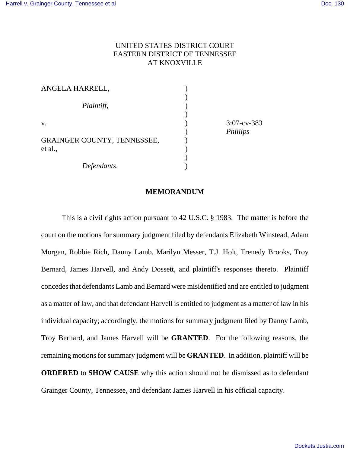# UNITED STATES DISTRICT COURT EASTERN DISTRICT OF TENNESSEE AT KNOXVILLE

| ANGELA HARRELL,                               |  |
|-----------------------------------------------|--|
| Plaintiff,                                    |  |
| V.                                            |  |
| <b>GRAINGER COUNTY, TENNESSEE,</b><br>et al., |  |
| Defendants.                                   |  |

 $3:07$ -cv-383 ) *Phillips*

#### **MEMORANDUM**

This is a civil rights action pursuant to 42 U.S.C. § 1983. The matter is before the court on the motions for summary judgment filed by defendants Elizabeth Winstead, Adam Morgan, Robbie Rich, Danny Lamb, Marilyn Messer, T.J. Holt, Trenedy Brooks, Troy Bernard, James Harvell, and Andy Dossett, and plaintiff's responses thereto. Plaintiff concedes that defendants Lamb and Bernard were misidentified and are entitled to judgment as a matter of law, and that defendant Harvell is entitled to judgment as a matter of law in his individual capacity; accordingly, the motions for summary judgment filed by Danny Lamb, Troy Bernard, and James Harvell will be **GRANTED**. For the following reasons, the remaining motions for summary judgment will be **GRANTED**. In addition, plaintiff will be **ORDERED** to **SHOW CAUSE** why this action should not be dismissed as to defendant Grainger County, Tennessee, and defendant James Harvell in his official capacity.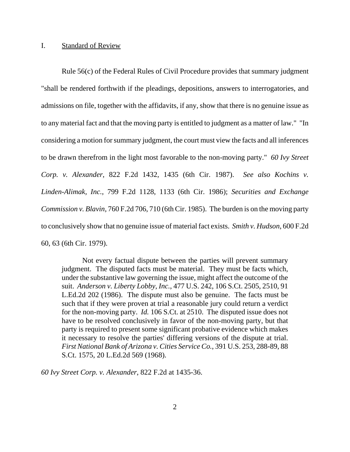#### I. Standard of Review

Rule 56(c) of the Federal Rules of Civil Procedure provides that summary judgment "shall be rendered forthwith if the pleadings, depositions, answers to interrogatories, and admissions on file, together with the affidavits, if any, show that there is no genuine issue as to any material fact and that the moving party is entitled to judgment as a matter of law." "In considering a motion for summary judgment, the court must view the facts and all inferences to be drawn therefrom in the light most favorable to the non-moving party." *60 Ivy Street Corp. v. Alexander*, 822 F.2d 1432, 1435 (6th Cir. 1987). *See also Kochins v. Linden-Alimak, Inc.*, 799 F.2d 1128, 1133 (6th Cir. 1986); *Securities and Exchange Commission v. Blavin*, 760 F.2d 706, 710 (6th Cir. 1985). The burden is on the moving party to conclusively show that no genuine issue of material fact exists. *Smith v. Hudson*, 600 F.2d 60, 63 (6th Cir. 1979).

Not every factual dispute between the parties will prevent summary judgment. The disputed facts must be material. They must be facts which, under the substantive law governing the issue, might affect the outcome of the suit. *Anderson v. Liberty Lobby, Inc.*, 477 U.S. 242, 106 S.Ct. 2505, 2510, 91 L.Ed.2d 202 (1986). The dispute must also be genuine. The facts must be such that if they were proven at trial a reasonable jury could return a verdict for the non-moving party. *Id.* 106 S.Ct. at 2510. The disputed issue does not have to be resolved conclusively in favor of the non-moving party, but that party is required to present some significant probative evidence which makes it necessary to resolve the parties' differing versions of the dispute at trial. *First National Bank of Arizona v. Cities Service Co.*, 391 U.S. 253, 288-89, 88 S.Ct. 1575, 20 L.Ed.2d 569 (1968).

*60 Ivy Street Corp. v. Alexander*, 822 F.2d at 1435-36.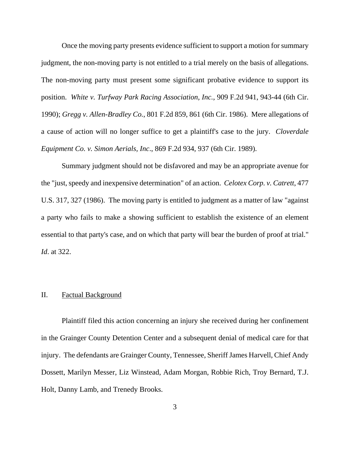Once the moving party presents evidence sufficient to support a motion for summary judgment, the non-moving party is not entitled to a trial merely on the basis of allegations. The non-moving party must present some significant probative evidence to support its position. *White v. Turfway Park Racing Association, Inc.*, 909 F.2d 941, 943-44 (6th Cir. 1990); *Gregg v. Allen-Bradley Co.*, 801 F.2d 859, 861 (6th Cir. 1986). Mere allegations of a cause of action will no longer suffice to get a plaintiff's case to the jury. *Cloverdale Equipment Co. v. Simon Aerials, Inc*., 869 F.2d 934, 937 (6th Cir. 1989).

Summary judgment should not be disfavored and may be an appropriate avenue for the "just, speedy and inexpensive determination" of an action. *Celotex Corp. v. Catrett*, 477 U.S. 317, 327 (1986). The moving party is entitled to judgment as a matter of law "against a party who fails to make a showing sufficient to establish the existence of an element essential to that party's case, and on which that party will bear the burden of proof at trial." *Id*. at 322.

## II. Factual Background

Plaintiff filed this action concerning an injury she received during her confinement in the Grainger County Detention Center and a subsequent denial of medical care for that injury. The defendants are Grainger County, Tennessee, Sheriff James Harvell, Chief Andy Dossett, Marilyn Messer, Liz Winstead, Adam Morgan, Robbie Rich, Troy Bernard, T.J. Holt, Danny Lamb, and Trenedy Brooks.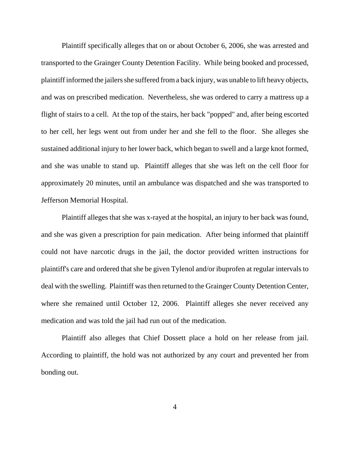Plaintiff specifically alleges that on or about October 6, 2006, she was arrested and transported to the Grainger County Detention Facility. While being booked and processed, plaintiff informed the jailers she suffered from a back injury, was unable to lift heavy objects, and was on prescribed medication. Nevertheless, she was ordered to carry a mattress up a flight of stairs to a cell. At the top of the stairs, her back "popped" and, after being escorted to her cell, her legs went out from under her and she fell to the floor. She alleges she sustained additional injury to her lower back, which began to swell and a large knot formed, and she was unable to stand up. Plaintiff alleges that she was left on the cell floor for approximately 20 minutes, until an ambulance was dispatched and she was transported to Jefferson Memorial Hospital.

Plaintiff alleges that she was x-rayed at the hospital, an injury to her back was found, and she was given a prescription for pain medication. After being informed that plaintiff could not have narcotic drugs in the jail, the doctor provided written instructions for plaintiff's care and ordered that she be given Tylenol and/or ibuprofen at regular intervals to deal with the swelling. Plaintiff was then returned to the Grainger County Detention Center, where she remained until October 12, 2006. Plaintiff alleges she never received any medication and was told the jail had run out of the medication.

Plaintiff also alleges that Chief Dossett place a hold on her release from jail. According to plaintiff, the hold was not authorized by any court and prevented her from bonding out.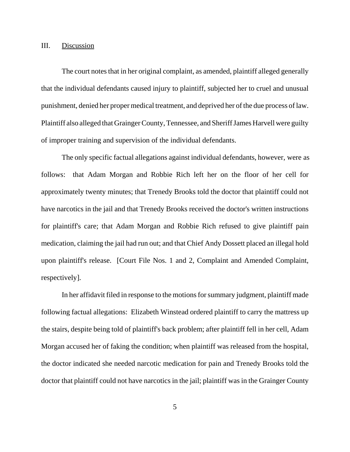#### III. Discussion

The court notes that in her original complaint, as amended, plaintiff alleged generally that the individual defendants caused injury to plaintiff, subjected her to cruel and unusual punishment, denied her proper medical treatment, and deprived her of the due process of law. Plaintiff also alleged that Grainger County, Tennessee, and Sheriff James Harvell were guilty of improper training and supervision of the individual defendants.

 The only specific factual allegations against individual defendants, however, were as follows: that Adam Morgan and Robbie Rich left her on the floor of her cell for approximately twenty minutes; that Trenedy Brooks told the doctor that plaintiff could not have narcotics in the jail and that Trenedy Brooks received the doctor's written instructions for plaintiff's care; that Adam Morgan and Robbie Rich refused to give plaintiff pain medication, claiming the jail had run out; and that Chief Andy Dossett placed an illegal hold upon plaintiff's release. [Court File Nos. 1 and 2, Complaint and Amended Complaint, respectively].

In her affidavit filed in response to the motions for summary judgment, plaintiff made following factual allegations: Elizabeth Winstead ordered plaintiff to carry the mattress up the stairs, despite being told of plaintiff's back problem; after plaintiff fell in her cell, Adam Morgan accused her of faking the condition; when plaintiff was released from the hospital, the doctor indicated she needed narcotic medication for pain and Trenedy Brooks told the doctor that plaintiff could not have narcotics in the jail; plaintiff was in the Grainger County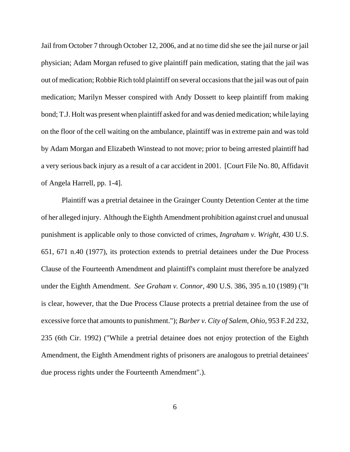Jail from October 7 through October 12, 2006, and at no time did she see the jail nurse or jail physician; Adam Morgan refused to give plaintiff pain medication, stating that the jail was out of medication; Robbie Rich told plaintiff on several occasions that the jail was out of pain medication; Marilyn Messer conspired with Andy Dossett to keep plaintiff from making bond; T.J. Holt was present when plaintiff asked for and was denied medication; while laying on the floor of the cell waiting on the ambulance, plaintiff was in extreme pain and was told by Adam Morgan and Elizabeth Winstead to not move; prior to being arrested plaintiff had a very serious back injury as a result of a car accident in 2001. [Court File No. 80, Affidavit of Angela Harrell, pp. 1-4].

Plaintiff was a pretrial detainee in the Grainger County Detention Center at the time of her alleged injury. Although the Eighth Amendment prohibition against cruel and unusual punishment is applicable only to those convicted of crimes, *Ingraham v. Wright*, 430 U.S. 651, 671 n.40 (1977), its protection extends to pretrial detainees under the Due Process Clause of the Fourteenth Amendment and plaintiff's complaint must therefore be analyzed under the Eighth Amendment. *See Graham v. Connor*, 490 U.S. 386, 395 n.10 (1989) ("It is clear, however, that the Due Process Clause protects a pretrial detainee from the use of excessive force that amounts to punishment."); *Barber v. City of Salem, Ohio*, 953 F.2d 232, 235 (6th Cir. 1992) ("While a pretrial detainee does not enjoy protection of the Eighth Amendment, the Eighth Amendment rights of prisoners are analogous to pretrial detainees' due process rights under the Fourteenth Amendment".).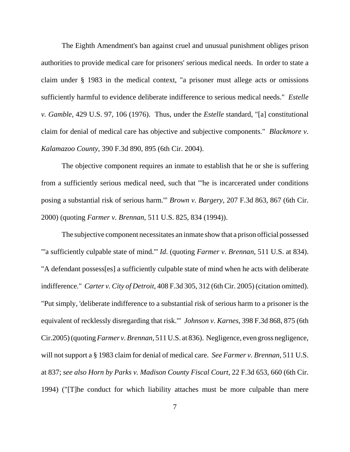The Eighth Amendment's ban against cruel and unusual punishment obliges prison authorities to provide medical care for prisoners' serious medical needs. In order to state a claim under § 1983 in the medical context, "a prisoner must allege acts or omissions sufficiently harmful to evidence deliberate indifference to serious medical needs." *Estelle v. Gamble*, 429 U.S. 97, 106 (1976). Thus, under the *Estelle* standard, "[a] constitutional claim for denial of medical care has objective and subjective components." *Blackmore v. Kalamazoo County*, 390 F.3d 890, 895 (6th Cir. 2004).

The objective component requires an inmate to establish that he or she is suffering from a sufficiently serious medical need, such that "'he is incarcerated under conditions posing a substantial risk of serious harm.'" *Brown v. Bargery*, 207 F.3d 863, 867 (6th Cir. 2000) (quoting *Farmer v. Brennan*, 511 U.S. 825, 834 (1994)).

The subjective component necessitates an inmate show that a prison official possessed "'a sufficiently culpable state of mind.'" *Id*. (quoting *Farmer v. Brennan*, 511 U.S. at 834). "A defendant possess[es] a sufficiently culpable state of mind when he acts with deliberate indifference." *Carter v. City of Detroit*, 408 F.3d 305, 312 (6th Cir. 2005) (citation omitted). "Put simply, 'deliberate indifference to a substantial risk of serious harm to a prisoner is the equivalent of recklessly disregarding that risk.'" *Johnson v. Karnes*, 398 F.3d 868, 875 (6th Cir.2005) (quoting *Farmer v. Brennan*, 511 U.S. at 836). Negligence, even gross negligence, will not support a § 1983 claim for denial of medical care. *See Farmer v. Brennan*, 511 U.S. at 837; *see also Horn by Parks v. Madison County Fiscal Court*, 22 F.3d 653, 660 (6th Cir. 1994) ("[T]he conduct for which liability attaches must be more culpable than mere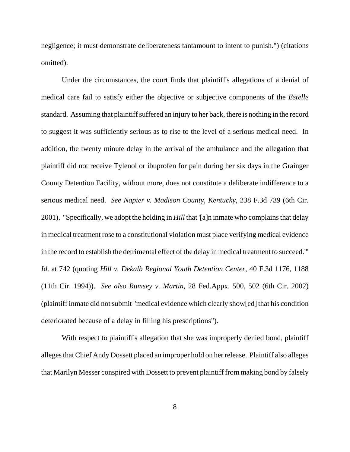negligence; it must demonstrate deliberateness tantamount to intent to punish.") (citations omitted).

Under the circumstances, the court finds that plaintiff's allegations of a denial of medical care fail to satisfy either the objective or subjective components of the *Estelle* standard. Assuming that plaintiff suffered an injury to her back, there is nothing in the record to suggest it was sufficiently serious as to rise to the level of a serious medical need. In addition, the twenty minute delay in the arrival of the ambulance and the allegation that plaintiff did not receive Tylenol or ibuprofen for pain during her six days in the Grainger County Detention Facility, without more, does not constitute a deliberate indifference to a serious medical need. *See Napier v. Madison County, Kentucky*, 238 F.3d 739 (6th Cir. 2001). "Specifically, we adopt the holding in *Hill* that '[a]n inmate who complains that delay in medical treatment rose to a constitutional violation must place verifying medical evidence in the record to establish the detrimental effect of the delay in medical treatment to succeed.'" *Id*. at 742 (quoting *Hill v. Dekalb Regional Youth Detention Center*, 40 F.3d 1176, 1188 (11th Cir. 1994)). *See also Rumsey v. Martin*, 28 Fed.Appx. 500, 502 (6th Cir. 2002) (plaintiff inmate did not submit "medical evidence which clearly show[ed] that his condition deteriorated because of a delay in filling his prescriptions").

With respect to plaintiff's allegation that she was improperly denied bond, plaintiff alleges that Chief Andy Dossett placed an improper hold on her release. Plaintiff also alleges that Marilyn Messer conspired with Dossett to prevent plaintiff from making bond by falsely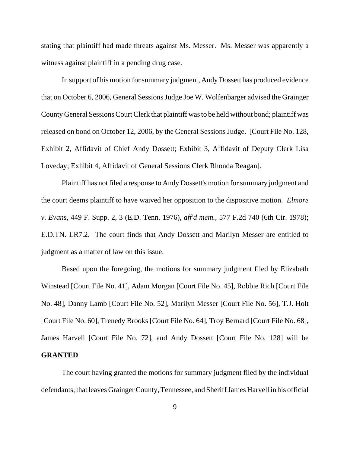stating that plaintiff had made threats against Ms. Messer. Ms. Messer was apparently a witness against plaintiff in a pending drug case.

In support of his motion for summary judgment, Andy Dossett has produced evidence that on October 6, 2006, General Sessions Judge Joe W. Wolfenbarger advised the Grainger County General Sessions Court Clerk that plaintiff was to be held without bond; plaintiff was released on bond on October 12, 2006, by the General Sessions Judge. [Court File No. 128, Exhibit 2, Affidavit of Chief Andy Dossett; Exhibit 3, Affidavit of Deputy Clerk Lisa Loveday; Exhibit 4, Affidavit of General Sessions Clerk Rhonda Reagan].

Plaintiff has not filed a response to Andy Dossett's motion for summary judgment and the court deems plaintiff to have waived her opposition to the dispositive motion. *Elmore v. Evans*, 449 F. Supp. 2, 3 (E.D. Tenn. 1976), *aff'd mem.*, 577 F.2d 740 (6th Cir. 1978); E.D.TN. LR7.2. The court finds that Andy Dossett and Marilyn Messer are entitled to judgment as a matter of law on this issue.

Based upon the foregoing, the motions for summary judgment filed by Elizabeth Winstead [Court File No. 41], Adam Morgan [Court File No. 45], Robbie Rich [Court File No. 48], Danny Lamb [Court File No. 52], Marilyn Messer [Court File No. 56], T.J. Holt [Court File No. 60], Trenedy Brooks [Court File No. 64], Troy Bernard [Court File No. 68], James Harvell [Court File No. 72], and Andy Dossett [Court File No. 128] will be **GRANTED**.

The court having granted the motions for summary judgment filed by the individual defendants, that leaves Grainger County, Tennessee, and Sheriff James Harvell in his official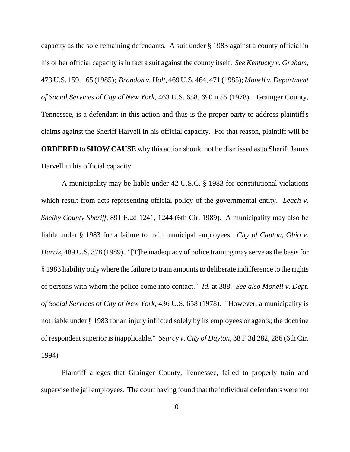capacity as the sole remaining defendants. A suit under § 1983 against a county official in his or her official capacity is in fact a suit against the county itself. *See Kentucky v. Graham*, 473 U.S. 159, 165 (1985); *Brandon v. Holt*, 469 U.S. 464, 471 (1985); *Monell v. Department of Social Services of City of New York*, 463 U.S. 658, 690 n.55 (1978). Grainger County, Tennessee, is a defendant in this action and thus is the proper party to address plaintiff's claims against the Sheriff Harvell in his official capacity. For that reason, plaintiff will be **ORDERED** to **SHOW CAUSE** why this action should not be dismissed as to Sheriff James Harvell in his official capacity.

A municipality may be liable under 42 U.S.C. § 1983 for constitutional violations which result from acts representing official policy of the governmental entity. *Leach v. Shelby County Sheriff*, 891 F.2d 1241, 1244 (6th Cir. 1989). A municipality may also be liable under § 1983 for a failure to train municipal employees. *City of Canton, Ohio v. Harris*, 489 U.S. 378 (1989). "[T]he inadequacy of police training may serve as the basis for § 1983 liability only where the failure to train amounts to deliberate indifference to the rights of persons with whom the police come into contact." *Id*. at 388. *See also Monell v. Dept. of Social Services of City of New York*, 436 U.S. 658 (1978). "However, a municipality is not liable under § 1983 for an injury inflicted solely by its employees or agents; the doctrine of respondeat superior is inapplicable." *Searcy v. City of Dayton*, 38 F.3d 282, 286 (6th Cir. 1994)

Plaintiff alleges that Grainger County, Tennessee, failed to properly train and supervise the jail employees. The court having found that the individual defendants were not